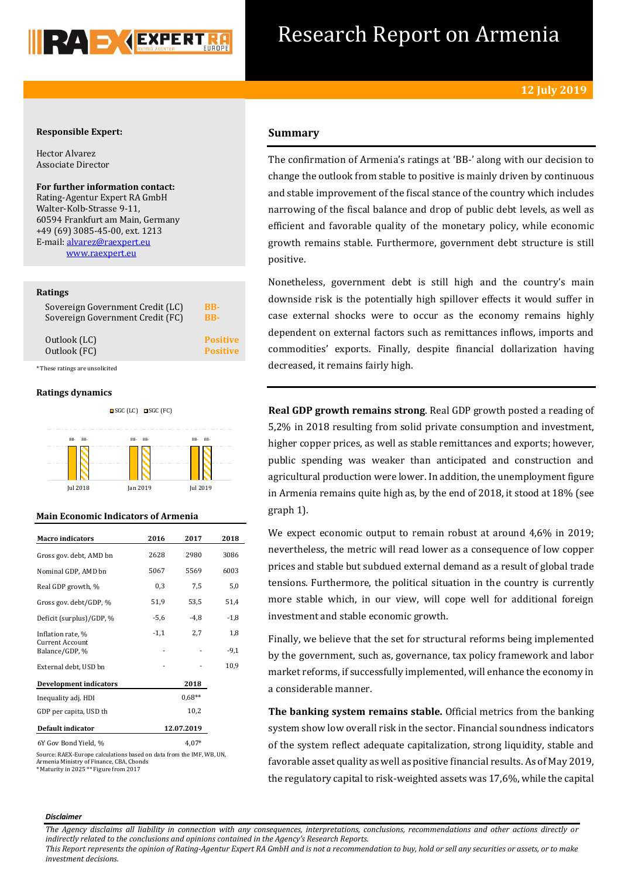

# Research Report on Armenia

### **Responsible Expert:**

Hector Alvarez Associate Director

**For further information contact:** Rating-Agentur Expert RA GmbH Walter-Kolb-Strasse 9-11, 60594 Frankfurt am Main, Germany +49 (69) 3085-45-00, ext. 1213 E-mail[: alvarez@raexpert.eu](mailto:alvarez@raexpert.eu) [www.raexpert.eu](http://raexpert.eu/)

#### **Ratings**

| Sovereign Government Credit (LC) | RR-             |
|----------------------------------|-----------------|
| Sovereign Government Credit (FC) | <b>BB-</b>      |
| Outlook (LC)                     | <b>Positive</b> |
| Outlook (FC)                     | <b>Positive</b> |

\* These ratings are unsolicited

#### **Ratings dynamics**





#### **Main Economic Indicators of Armenia**

| <b>Macro</b> indicators                  | 2016       | 2017     | 2018   |
|------------------------------------------|------------|----------|--------|
| Gross gov. debt, AMD bn                  | 2628       | 2980     | 3086   |
| Nominal GDP, AMD bn                      | 5067       | 5569     | 6003   |
| Real GDP growth, %                       | 0,3        | 7,5      | 5,0    |
| Gross gov. debt/GDP, %                   | 51,9       | 53,5     | 51,4   |
| Deficit (surplus)/GDP, %                 | -5,6       | $-4,8$   | $-1,8$ |
| Inflation rate, %                        | $-1,1$     | 2,7      | 1,8    |
| <b>Current Account</b><br>Balance/GDP, % |            |          | $-9,1$ |
| External debt, USD bn                    |            |          | 10,9   |
| <b>Development indicators</b>            |            | 2018     |        |
| Inequality adj. HDI                      |            | $0.68**$ |        |
| GDP per capita, USD th                   |            | 10,2     |        |
| Default indicator                        | 12.07.2019 |          |        |
| 6Y Gov Bond Yield, %                     | $4.07*$    |          |        |

Source: RAEX-Europe calculations based on data from the IMF, WB, UN, Armenia Ministry of Finance, CBA, Cbonds \* Maturity in 2025 \*\* Figure from 2017

## **Summary**

The confirmation of Armenia's ratings at 'BB-' along with our decision to change the outlook from stable to positive is mainly driven by continuous and stable improvement of the fiscal stance of the country which includes narrowing of the fiscal balance and drop of public debt levels, as well as efficient and favorable quality of the monetary policy, while economic growth remains stable. Furthermore, government debt structure is still positive.

Nonetheless, government debt is still high and the country's main downside risk is the potentially high spillover effects it would suffer in case external shocks were to occur as the economy remains highly dependent on external factors such as remittances inflows, imports and commodities' exports. Finally, despite financial dollarization having decreased, it remains fairly high.

**Real GDP growth remains strong**. Real GDP growth posted a reading of 5,2% in 2018 resulting from solid private consumption and investment, higher copper prices, as well as stable remittances and exports; however, public spending was weaker than anticipated and construction and agricultural production were lower. In addition, the unemployment figure in Armenia remains quite high as, by the end of 2018, it stood at 18% (see graph 1).

We expect economic output to remain robust at around 4.6% in 2019: nevertheless, the metric will read lower as a consequence of low copper prices and stable but subdued external demand as a result of global trade tensions. Furthermore, the political situation in the country is currently more stable which, in our view, will cope well for additional foreign investment and stable economic growth.

Finally, we believe that the set for structural reforms being implemented by the government, such as, governance, tax policy framework and labor market reforms, if successfully implemented, will enhance the economy in a considerable manner.

**The banking system remains stable.** Official metrics from the banking system show low overall risk in the sector. Financial soundness indicators of the system reflect adequate capitalization, strong liquidity, stable and favorable asset quality as well as positive financial results. As of May 2019, the regulatory capital to risk-weighted assets was 17,6%, while the capital

#### *Disclaimer*

*This Report represents the opinion of Rating-Agentur Expert RA GmbH and is not a recommendation to buy, hold or sell any securities or assets, or to make investment decisions.*

*The Agency disclaims all liability in connection with any consequences, interpretations, conclusions, recommendations and other actions directly or indirectly related to the conclusions and opinions contained in the Agency's Research Reports.*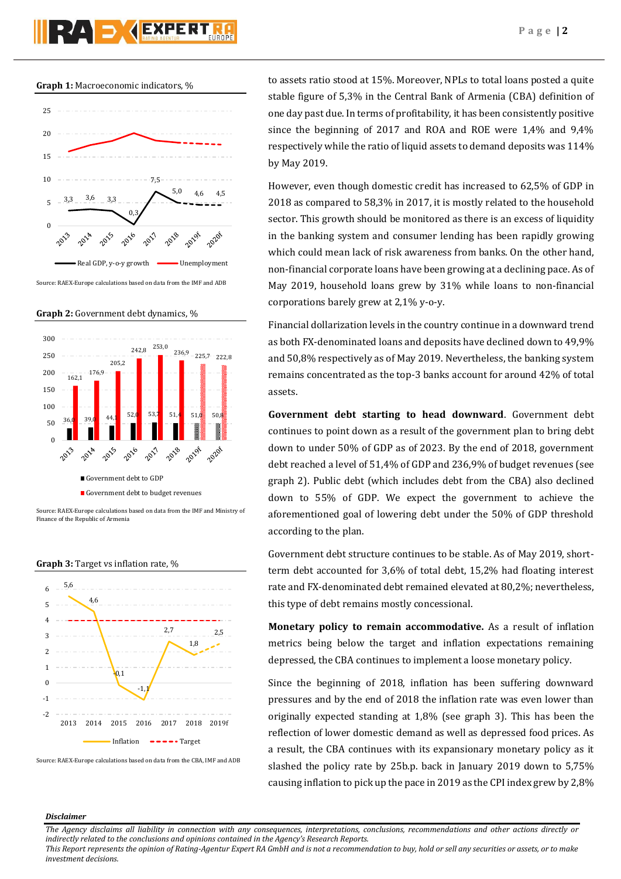**Graph 1:** Macroeconomic indicators, %



Source: RAEX-Europe calculations based on data from the IMF and ADB

**Graph 2:** Government debt dynamics, %



Source: RAEX-Europe calculations based on data from the IMF and Ministry of Finance of the Republic of Armenia





Source: RAEX-Europe calculations based on data from the CBA, IMF and ADB

to assets ratio stood at 15%. Moreover, NPLs to total loans posted a quite stable figure of 5,3% in the Central Bank of Armenia (CBA) definition of one day past due. In terms of profitability, it has been consistently positive since the beginning of 2017 and ROA and ROE were 1,4% and 9,4% respectively while the ratio of liquid assets to demand deposits was 114% by May 2019.

However, even though domestic credit has increased to 62,5% of GDP in 2018 as compared to 58,3% in 2017, it is mostly related to the household sector. This growth should be monitored as there is an excess of liquidity in the banking system and consumer lending has been rapidly growing which could mean lack of risk awareness from banks. On the other hand, non-financial corporate loans have been growing at a declining pace. As of May 2019, household loans grew by 31% while loans to non-financial corporations barely grew at 2,1% y-o-y.

Financial dollarization levels in the country continue in a downward trend as both FX-denominated loans and deposits have declined down to 49,9% and 50,8% respectively as of May 2019. Nevertheless, the banking system remains concentrated as the top-3 banks account for around 42% of total assets.

**Government debt starting to head downward**. Government debt continues to point down as a result of the government plan to bring debt down to under 50% of GDP as of 2023. By the end of 2018, government debt reached a level of 51,4% of GDP and 236,9% of budget revenues (see graph 2). Public debt (which includes debt from the CBA) also declined down to 55% of GDP. We expect the government to achieve the aforementioned goal of lowering debt under the 50% of GDP threshold according to the plan.

Government debt structure continues to be stable. As of May 2019, shortterm debt accounted for 3,6% of total debt, 15,2% had floating interest rate and FX-denominated debt remained elevated at 80,2%; nevertheless, this type of debt remains mostly concessional.

**Monetary policy to remain accommodative.** As a result of inflation metrics being below the target and inflation expectations remaining depressed, the CBA continues to implement a loose monetary policy.

Since the beginning of 2018, inflation has been suffering downward pressures and by the end of 2018 the inflation rate was even lower than originally expected standing at 1,8% (see graph 3). This has been the reflection of lower domestic demand as well as depressed food prices. As a result, the CBA continues with its expansionary monetary policy as it slashed the policy rate by 25b.p. back in January 2019 down to 5,75% causing inflation to pick up the pace in 2019 as the CPI index grew by 2,8%

### *Disclaimer*

*The Agency disclaims all liability in connection with any consequences, interpretations, conclusions, recommendations and other actions directly or indirectly related to the conclusions and opinions contained in the Agency's Research Reports.*

*This Report represents the opinion of Rating-Agentur Expert RA GmbH and is not a recommendation to buy, hold or sell any securities or assets, or to make investment decisions.*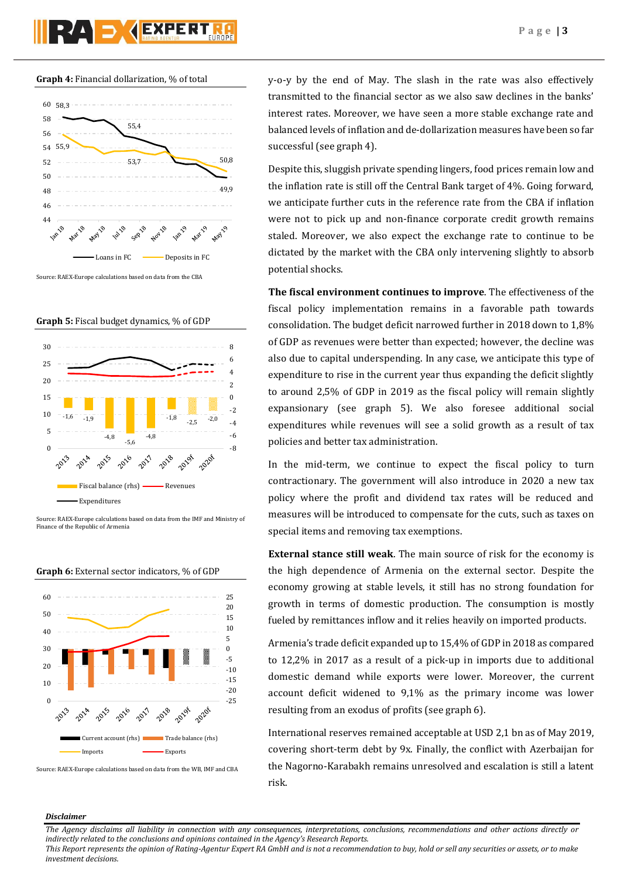





**Graph 5:** Fiscal budget dynamics, % of GDP









Source: RAEX-Europe calculations based on data from the WB, IMF and CBA

y-o-y by the end of May. The slash in the rate was also effectively transmitted to the financial sector as we also saw declines in the banks' interest rates. Moreover, we have seen a more stable exchange rate and balanced levels of inflation and de-dollarization measures have been so far successful (see graph 4).

Despite this, sluggish private spending lingers, food prices remain low and the inflation rate is still off the Central Bank target of 4%. Going forward, we anticipate further cuts in the reference rate from the CBA if inflation were not to pick up and non-finance corporate credit growth remains staled. Moreover, we also expect the exchange rate to continue to be dictated by the market with the CBA only intervening slightly to absorb potential shocks.

**The fiscal environment continues to improve**. The effectiveness of the fiscal policy implementation remains in a favorable path towards consolidation. The budget deficit narrowed further in 2018 down to 1,8% of GDP as revenues were better than expected; however, the decline was also due to capital underspending. In any case, we anticipate this type of expenditure to rise in the current year thus expanding the deficit slightly to around 2,5% of GDP in 2019 as the fiscal policy will remain slightly expansionary (see graph 5). We also foresee additional social expenditures while revenues will see a solid growth as a result of tax policies and better tax administration.

In the mid-term, we continue to expect the fiscal policy to turn contractionary. The government will also introduce in 2020 a new tax policy where the profit and dividend tax rates will be reduced and measures will be introduced to compensate for the cuts, such as taxes on special items and removing tax exemptions.

**External stance still weak**. The main source of risk for the economy is the high dependence of Armenia on the external sector. Despite the economy growing at stable levels, it still has no strong foundation for growth in terms of domestic production. The consumption is mostly fueled by remittances inflow and it relies heavily on imported products.

Armenia's trade deficit expanded up to 15,4% of GDP in 2018 as compared to 12,2% in 2017 as a result of a pick-up in imports due to additional domestic demand while exports were lower. Moreover, the current account deficit widened to 9,1% as the primary income was lower resulting from an exodus of profits (see graph 6).

International reserves remained acceptable at USD 2,1 bn as of May 2019, covering short-term debt by 9x. Finally, the conflict with Azerbaijan for the Nagorno-Karabakh remains unresolved and escalation is still a latent risk.

#### *Disclaimer*

*The Agency disclaims all liability in connection with any consequences, interpretations, conclusions, recommendations and other actions directly or indirectly related to the conclusions and opinions contained in the Agency's Research Reports.*

*This Report represents the opinion of Rating-Agentur Expert RA GmbH and is not a recommendation to buy, hold or sell any securities or assets, or to make investment decisions.*